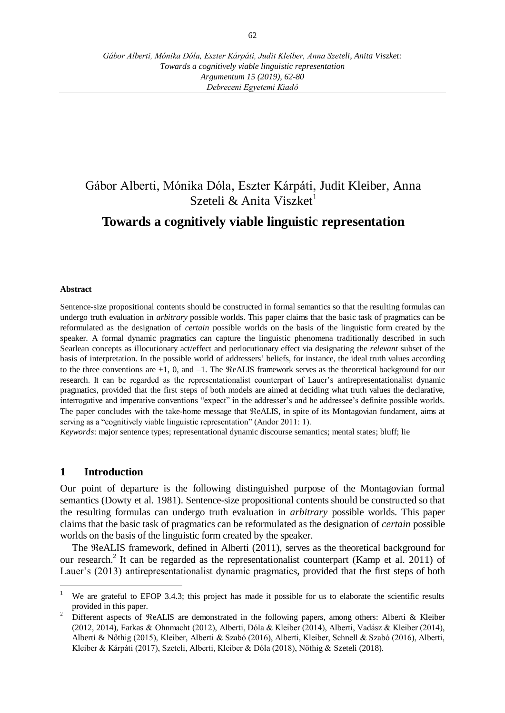*Debreceni Egyetemi Kiadó*

# Gábor Alberti, Mónika Dóla, Eszter Kárpáti, Judit Kleiber, Anna Szeteli  $&$  Anita Viszket<sup>1</sup>

# **Towards a cognitively viable linguistic representation**

#### **Abstract**

Sentence-size propositional contents should be constructed in formal semantics so that the resulting formulas can undergo truth evaluation in *arbitrary* possible worlds. This paper claims that the basic task of pragmatics can be reformulated as the designation of *certain* possible worlds on the basis of the linguistic form created by the speaker. A formal dynamic pragmatics can capture the linguistic phenomena traditionally described in such Searlean concepts as illocutionary act/effect and perlocutionary effect via designating the *relevant* subset of the basis of interpretation. In the possible world of addressers' beliefs, for instance, the ideal truth values according to the three conventions are  $+1$ , 0, and  $-1$ . The  $ReALIS$  framework serves as the theoretical background for our research. It can be regarded as the representationalist counterpart of Lauer's antirepresentationalist dynamic pragmatics, provided that the first steps of both models are aimed at deciding what truth values the declarative, interrogative and imperative conventions "expect" in the addresser's and he addressee's definite possible worlds. The paper concludes with the take-home message that  $ReALIS$ , in spite of its Montagovian fundament, aims at serving as a "cognitively viable linguistic representation" (Andor 2011: 1).

*Keywords*: major sentence types; representational dynamic discourse semantics; mental states; bluff; lie

#### **1 Introduction**

 $\overline{a}$ 

Our point of departure is the following distinguished purpose of the Montagovian formal semantics (Dowty et al. 1981). Sentence-size propositional contents should be constructed so that the resulting formulas can undergo truth evaluation in *arbitrary* possible worlds. This paper claims that the basic task of pragmatics can be reformulated as the designation of *certain* possible worlds on the basis of the linguistic form created by the speaker.

The  $ReALIS$  framework, defined in Alberti (2011), serves as the theoretical background for our research.<sup>2</sup> It can be regarded as the representationalist counterpart (Kamp et al. 2011) of Lauer's (2013) antirepresentationalist dynamic pragmatics, provided that the first steps of both

<sup>&</sup>lt;sup>1</sup> We are grateful to EFOP 3.4.3; this project has made it possible for us to elaborate the scientific results provided in this paper.

<sup>&</sup>lt;sup>2</sup> Different aspects of ReALIS are demonstrated in the following papers, among others: Alberti & Kleiber (2012, 2014), Farkas & Ohnmacht (2012), Alberti, Dóla & Kleiber (2014), Alberti, Vadász & Kleiber (2014), Alberti & Nőthig (2015), Kleiber, Alberti & Szabó (2016), Alberti, Kleiber, Schnell & Szabó (2016), Alberti, Kleiber & Kárpáti (2017), Szeteli, Alberti, Kleiber & Dóla (2018), Nőthig & Szeteli (2018).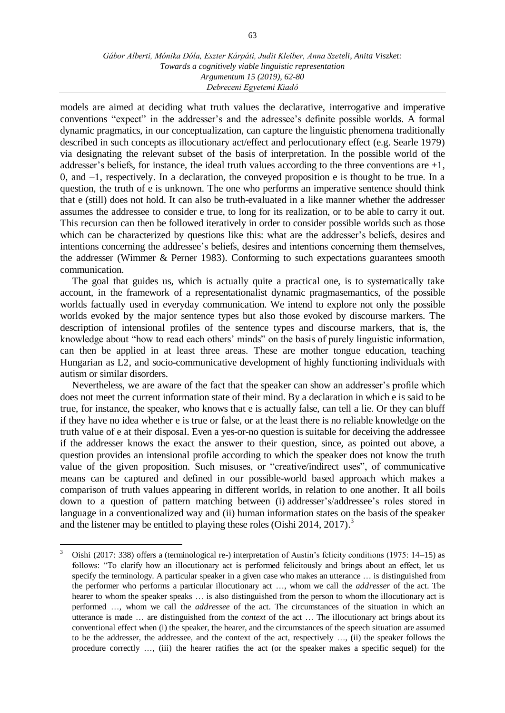models are aimed at deciding what truth values the declarative, interrogative and imperative conventions "expect" in the addresser's and the adressee's definite possible worlds. A formal dynamic pragmatics, in our conceptualization, can capture the linguistic phenomena traditionally described in such concepts as illocutionary act/effect and perlocutionary effect (e.g. Searle 1979) via designating the relevant subset of the basis of interpretation. In the possible world of the addresser's beliefs, for instance, the ideal truth values according to the three conventions are  $+1$ , 0, and –1, respectively. In a declaration, the conveyed proposition e is thought to be true. In a question, the truth of e is unknown. The one who performs an imperative sentence should think that e (still) does not hold. It can also be truth-evaluated in a like manner whether the addresser assumes the addressee to consider e true, to long for its realization, or to be able to carry it out. This recursion can then be followed iteratively in order to consider possible worlds such as those which can be characterized by questions like this: what are the addresser's beliefs, desires and intentions concerning the addressee's beliefs, desires and intentions concerning them themselves, the addresser (Wimmer & Perner 1983). Conforming to such expectations guarantees smooth communication.

The goal that guides us, which is actually quite a practical one, is to systematically take account, in the framework of a representationalist dynamic pragmasemantics, of the possible worlds factually used in everyday communication. We intend to explore not only the possible worlds evoked by the major sentence types but also those evoked by discourse markers. The description of intensional profiles of the sentence types and discourse markers, that is, the knowledge about "how to read each others' minds" on the basis of purely linguistic information, can then be applied in at least three areas. These are mother tongue education, teaching Hungarian as L2, and socio-communicative development of highly functioning individuals with autism or similar disorders.

Nevertheless, we are aware of the fact that the speaker can show an addresser's profile which does not meet the current information state of their mind. By a declaration in which e is said to be true, for instance, the speaker, who knows that e is actually false, can tell a lie. Or they can bluff if they have no idea whether e is true or false, or at the least there is no reliable knowledge on the truth value of e at their disposal. Even a yes-or-no question is suitable for deceiving the addressee if the addresser knows the exact the answer to their question, since, as pointed out above, a question provides an intensional profile according to which the speaker does not know the truth value of the given proposition. Such misuses, or "creative/indirect uses", of communicative means can be captured and defined in our possible-world based approach which makes a comparison of truth values appearing in different worlds, in relation to one another. It all boils down to a question of pattern matching between (i) addresser's/addressee's roles stored in language in a conventionalized way and (ii) human information states on the basis of the speaker and the listener may be entitled to playing these roles (Oishi 2014, 2017).<sup>3</sup>

 $\overline{a}$ 

<sup>3</sup> Oishi (2017: 338) offers a (terminological re-) interpretation of Austin's felicity conditions (1975: 14–15) as follows: "To clarify how an illocutionary act is performed felicitously and brings about an effect, let us specify the terminology. A particular speaker in a given case who makes an utterance … is distinguished from the performer who performs a particular illocutionary act …, whom we call the *addresser* of the act. The hearer to whom the speaker speaks ... is also distinguished from the person to whom the illocutionary act is performed …, whom we call the *addressee* of the act. The circumstances of the situation in which an utterance is made … are distinguished from the *context* of the act … The illocutionary act brings about its conventional effect when (i) the speaker, the hearer, and the circumstances of the speech situation are assumed to be the addresser, the addressee, and the context of the act, respectively …, (ii) the speaker follows the procedure correctly …, (iii) the hearer ratifies the act (or the speaker makes a specific sequel) for the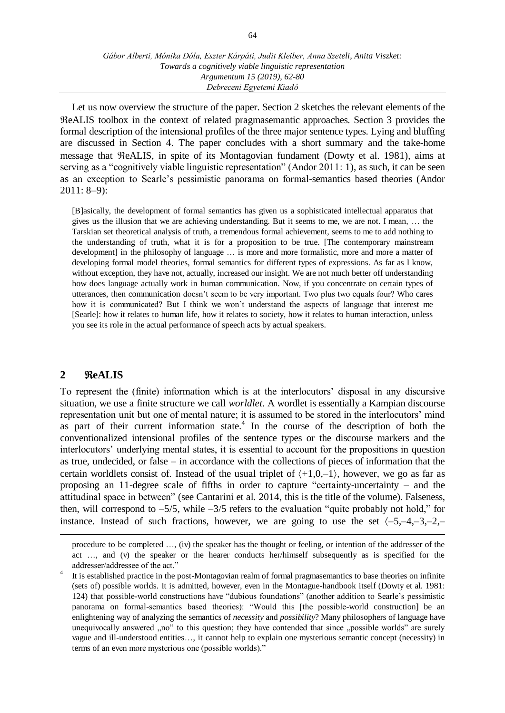Let us now overview the structure of the paper. Section 2 sketches the relevant elements of the ReALIS toolbox in the context of related pragmasemantic approaches. Section 3 provides the formal description of the intensional profiles of the three major sentence types. Lying and bluffing are discussed in Section 4. The paper concludes with a short summary and the take-home message that  $ReALIS$ , in spite of its Montagovian fundament (Dowty et al. 1981), aims at serving as a "cognitively viable linguistic representation" (Andor 2011: 1), as such, it can be seen as an exception to Searle's pessimistic panorama on formal-semantics based theories (Andor 2011: 8–9):

[B]asically, the development of formal semantics has given us a sophisticated intellectual apparatus that gives us the illusion that we are achieving understanding. But it seems to me, we are not. I mean, … the Tarskian set theoretical analysis of truth, a tremendous formal achievement, seems to me to add nothing to the understanding of truth, what it is for a proposition to be true. [The contemporary mainstream development] in the philosophy of language … is more and more formalistic, more and more a matter of developing formal model theories, formal semantics for different types of expressions. As far as I know, without exception, they have not, actually, increased our insight. We are not much better off understanding how does language actually work in human communication. Now, if you concentrate on certain types of utterances, then communication doesn't seem to be very important. Two plus two equals four? Who cares how it is communicated? But I think we won't understand the aspects of language that interest me [Searle]: how it relates to human life, how it relates to society, how it relates to human interaction, unless you see its role in the actual performance of speech acts by actual speakers.

## **2 eALIS**

 $\overline{a}$ 

To represent the (finite) information which is at the interlocutors' disposal in any discursive situation, we use a finite structure we call *worldlet*. A wordlet is essentially a Kampian discourse representation unit but one of mental nature; it is assumed to be stored in the interlocutors' mind as part of their current information state. $4$  In the course of the description of both the conventionalized intensional profiles of the sentence types or the discourse markers and the interlocutors' underlying mental states, it is essential to account for the propositions in question as true, undecided, or false – in accordance with the collections of pieces of information that the certain worldlets consist of. Instead of the usual triplet of  $\langle +1,0,-1 \rangle$ , however, we go as far as proposing an 11-degree scale of fifths in order to capture "certainty-uncertainty – and the attitudinal space in between" (see Cantarini et al*.* 2014, this is the title of the volume). Falseness, then, will correspond to  $-5/5$ , while  $-3/5$  refers to the evaluation "quite probably not hold," for instance. Instead of such fractions, however, we are going to use the set  $(-5,-4,-3,-2,-$ 

procedure to be completed …, (iv) the speaker has the thought or feeling, or intention of the addresser of the act …, and (v) the speaker or the hearer conducts her/himself subsequently as is specified for the addresser/addressee of the act."

<sup>4</sup> It is established practice in the post-Montagovian realm of formal pragmasemantics to base theories on infinite (sets of) possible worlds. It is admitted, however, even in the Montague-handbook itself (Dowty et al*.* 1981: 124) that possible-world constructions have "dubious foundations" (another addition to Searle's pessimistic panorama on formal-semantics based theories): "Would this [the possible-world construction] be an enlightening way of analyzing the semantics of *necessity* and *possibility*? Many philosophers of language have unequivocally answered "no" to this question; they have contended that since "possible worlds" are surely vague and ill-understood entities…, it cannot help to explain one mysterious semantic concept (necessity) in terms of an even more mysterious one (possible worlds)."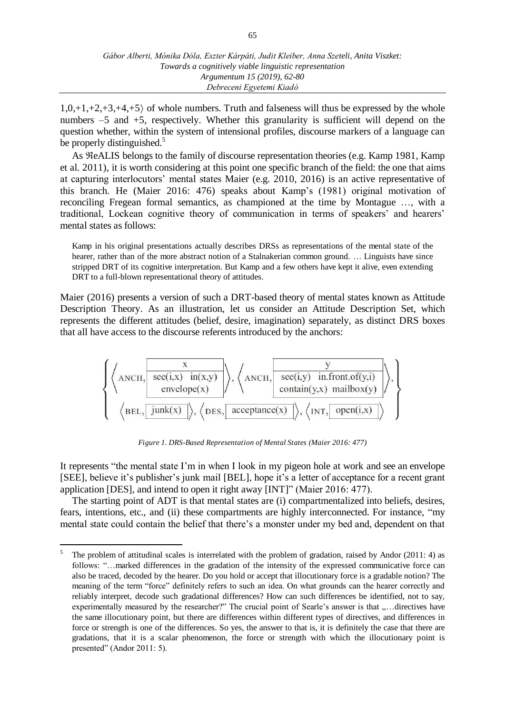$1,0,+1,+2,+3,+4,+5$  of whole numbers. Truth and falseness will thus be expressed by the whole numbers  $-5$  and  $+5$ , respectively. Whether this granularity is sufficient will depend on the question whether, within the system of intensional profiles, discourse markers of a language can be properly distinguished.<sup>5</sup>

As  $\Re$ eALIS belongs to the family of discourse representation theories (e.g. Kamp 1981, Kamp et al*.* 2011), it is worth considering at this point one specific branch of the field: the one that aims at capturing interlocutors' mental states Maier (e.g. 2010, 2016) is an active representative of this branch. He (Maier 2016: 476) speaks about Kamp's (1981) original motivation of reconciling Fregean formal semantics, as championed at the time by Montague …, with a traditional, Lockean cognitive theory of communication in terms of speakers' and hearers' mental states as follows:

Kamp in his original presentations actually describes DRSs as representations of the mental state of the hearer, rather than of the more abstract notion of a Stalnakerian common ground. … Linguists have since stripped DRT of its cognitive interpretation. But Kamp and a few others have kept it alive, even extending DRT to a full-blown representational theory of attitudes.

Maier (2016) presents a version of such a DRT-based theory of mental states known as Attitude Description Theory. As an illustration, let us consider an Attitude Description Set, which represents the different attitudes (belief, desire, imagination) separately, as distinct DRS boxes that all have access to the discourse referents introduced by the anchors:



*Figure 1. DRS-Based Representation of Mental States (Maier 2016: 477)*

It represents "the mental state I'm in when I look in my pigeon hole at work and see an envelope [SEE], believe it's publisher's junk mail [BEL], hope it's a letter of acceptance for a recent grant application [DES], and intend to open it right away [INT]" (Maier 2016: 477).

The starting point of ADT is that mental states are (i) compartmentalized into beliefs, desires, fears, intentions, etc., and (ii) these compartments are highly interconnected. For instance, "my mental state could contain the belief that there's a monster under my bed and, dependent on that

 5 The problem of attitudinal scales is interrelated with the problem of gradation, raised by Andor (2011: 4) as follows: "...marked differences in the gradation of the intensity of the expressed communicative force can also be traced, decoded by the hearer. Do you hold or accept that illocutionary force is a gradable notion? The meaning of the term "force" definitely refers to such an idea. On what grounds can the hearer correctly and reliably interpret, decode such gradational differences? How can such differences be identified, not to say, experimentally measured by the researcher?" The crucial point of Searle's answer is that ,... directives have the same illocutionary point, but there are differences within different types of directives, and differences in force or strength is one of the differences. So yes, the answer to that is, it is definitely the case that there are gradations, that it is a scalar phenomenon, the force or strength with which the illocutionary point is presented" (Andor 2011: 5).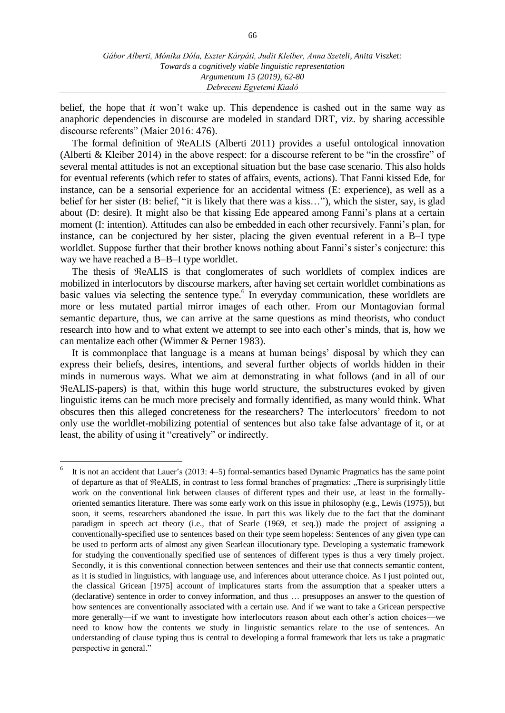belief, the hope that *it* won't wake up. This dependence is cashed out in the same way as anaphoric dependencies in discourse are modeled in standard DRT, viz. by sharing accessible discourse referents" (Maier 2016: 476).

The formal definition of ReALIS (Alberti 2011) provides a useful ontological innovation (Alberti & Kleiber 2014) in the above respect: for a discourse referent to be "in the crossfire" of several mental attitudes is not an exceptional situation but the base case scenario. This also holds for eventual referents (which refer to states of affairs, events, actions). That Fanni kissed Ede, for instance, can be a sensorial experience for an accidental witness (E: experience), as well as a belief for her sister (B: belief, "it is likely that there was a kiss…"), which the sister, say, is glad about (D: desire). It might also be that kissing Ede appeared among Fanni's plans at a certain moment (I: intention). Attitudes can also be embedded in each other recursively. Fanni's plan, for instance, can be conjectured by her sister, placing the given eventual referent in a B–I type worldlet. Suppose further that their brother knows nothing about Fanni's sister's conjecture: this way we have reached a B–B–I type worldlet.

The thesis of  $ReALIS$  is that conglomerates of such worldlets of complex indices are mobilized in interlocutors by discourse markers, after having set certain worldlet combinations as basic values via selecting the sentence type.<sup>6</sup> In everyday communication, these worldlets are more or less mutated partial mirror images of each other. From our Montagovian formal semantic departure, thus, we can arrive at the same questions as mind theorists, who conduct research into how and to what extent we attempt to see into each other's minds, that is, how we can mentalize each other (Wimmer & Perner 1983).

It is commonplace that language is a means at human beings' disposal by which they can express their beliefs, desires, intentions, and several further objects of worlds hidden in their minds in numerous ways. What we aim at demonstrating in what follows (and in all of our eALIS-papers) is that, within this huge world structure, the substructures evoked by given linguistic items can be much more precisely and formally identified, as many would think. What obscures then this alleged concreteness for the researchers? The interlocutors' freedom to not only use the worldlet-mobilizing potential of sentences but also take false advantage of it, or at least, the ability of using it "creatively" or indirectly.

 6 It is not an accident that Lauer's (2013: 4–5) formal-semantics based Dynamic Pragmatics has the same point of departure as that of  $ReALIS$ , in contrast to less formal branches of pragmatics: "There is surprisingly little work on the conventional link between clauses of different types and their use, at least in the formallyoriented semantics literature. There was some early work on this issue in philosophy (e.g., Lewis (1975)), but soon, it seems, researchers abandoned the issue. In part this was likely due to the fact that the dominant paradigm in speech act theory (i.e., that of Searle (1969, et seq.)) made the project of assigning a conventionally-specified use to sentences based on their type seem hopeless: Sentences of any given type can be used to perform acts of almost any given Searlean illocutionary type. Developing a systematic framework for studying the conventionally specified use of sentences of different types is thus a very timely project. Secondly, it is this conventional connection between sentences and their use that connects semantic content, as it is studied in linguistics, with language use, and inferences about utterance choice. As I just pointed out, the classical Gricean [1975] account of implicatures starts from the assumption that a speaker utters a (declarative) sentence in order to convey information, and thus … presupposes an answer to the question of how sentences are conventionally associated with a certain use. And if we want to take a Gricean perspective more generally—if we want to investigate how interlocutors reason about each other's action choices—we need to know how the contents we study in linguistic semantics relate to the use of sentences. An understanding of clause typing thus is central to developing a formal framework that lets us take a pragmatic perspective in general."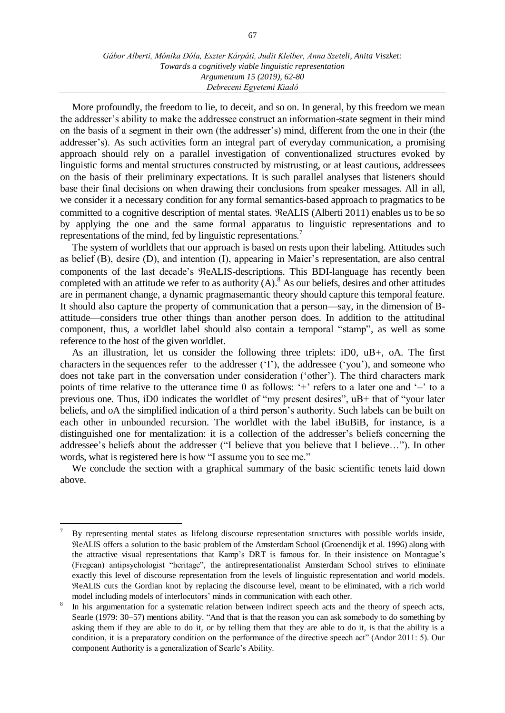More profoundly, the freedom to lie, to deceit, and so on. In general, by this freedom we mean the addresser's ability to make the addressee construct an information-state segment in their mind on the basis of a segment in their own (the addresser's) mind, different from the one in their (the addresser's). As such activities form an integral part of everyday communication, a promising approach should rely on a parallel investigation of conventionalized structures evoked by linguistic forms and mental structures constructed by mistrusting, or at least cautious, addressees on the basis of their preliminary expectations. It is such parallel analyses that listeners should base their final decisions on when drawing their conclusions from speaker messages. All in all, we consider it a necessary condition for any formal semantics-based approach to pragmatics to be committed to a cognitive description of mental states.  $ReALIS$  (Alberti 2011) enables us to be so by applying the one and the same formal apparatus to linguistic representations and to representations of the mind, fed by linguistic representations.<sup>7</sup>

The system of worldlets that our approach is based on rests upon their labeling. Attitudes such as belief (B), desire (D), and intention (I), appearing in Maier's representation, are also central components of the last decade's  $ReALIS$ -descriptions. This BDI-language has recently been completed with an attitude we refer to as authority  $(A)$ .<sup>8</sup> As our beliefs, desires and other attitudes are in permanent change, a dynamic pragmasemantic theory should capture this temporal feature. It should also capture the property of communication that a person—say, in the dimension of Battitude—considers true other things than another person does. In addition to the attitudinal component, thus, a worldlet label should also contain a temporal "stamp", as well as some reference to the host of the given worldlet.

As an illustration, let us consider the following three triplets: iD0, uB+, oA. The first characters in the sequences refer to the addresser ('I'), the addressee ('you'), and someone who does not take part in the conversation under consideration ('other'). The third characters mark points of time relative to the utterance time 0 as follows: '+' refers to a later one and '–' to a previous one. Thus, iD0 indicates the worldlet of "my present desires", uB+ that of "your later beliefs, and oA the simplified indication of a third person's authority. Such labels can be built on each other in unbounded recursion. The worldlet with the label iBuBiB, for instance, is a distinguished one for mentalization: it is a collection of the addresser's beliefs concerning the addressee's beliefs about the addresser ("I believe that you believe that I believe…"). In other words, what is registered here is how "I assume you to see me."

We conclude the section with a graphical summary of the basic scientific tenets laid down above.

 $\overline{a}$ 

<sup>7</sup> By representing mental states as lifelong discourse representation structures with possible worlds inside, eALIS offers a solution to the basic problem of the Amsterdam School (Groenendijk et al*.* 1996) along with the attractive visual representations that Kamp's DRT is famous for. In their insistence on Montague's (Fregean) antipsychologist "heritage", the antirepresentationalist Amsterdam School strives to eliminate exactly this level of discourse representation from the levels of linguistic representation and world models. eALIS cuts the Gordian knot by replacing the discourse level, meant to be eliminated, with a rich world model including models of interlocutors' minds in communication with each other.

<sup>8</sup> In his argumentation for a systematic relation between indirect speech acts and the theory of speech acts, Searle (1979: 30–57) mentions ability. "And that is that the reason you can ask somebody to do something by asking them if they are able to do it, or by telling them that they are able to do it, is that the ability is a condition, it is a preparatory condition on the performance of the directive speech act" (Andor 2011: 5). Our component Authority is a generalization of Searle's Ability.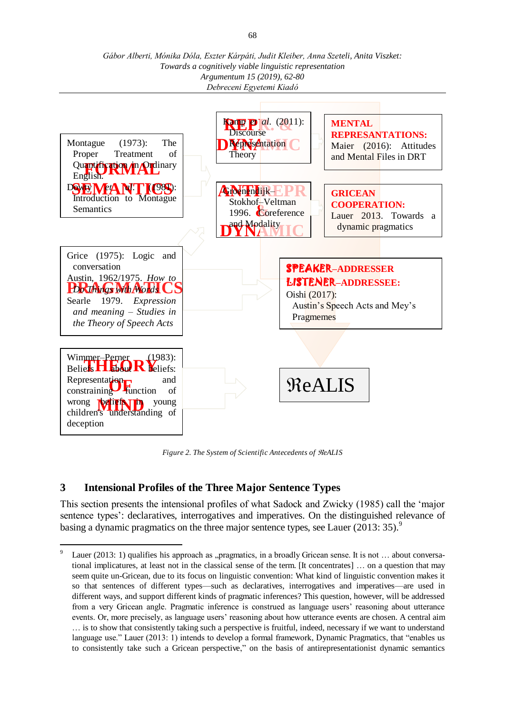*Gábor Alberti, Mónika Dóla, Eszter Kárpáti, Judit Kleiber, Anna Szeteli, Anita Viszket: Towards a cognitively viable linguistic representation Argumentum 15 (2019), 62-80 Debreceni Egyetemi Kiadó*



*Figure 2. The System of Scientific Antecedents of*  $ReALIS$ 

# **3 Intensional Profiles of the Three Major Sentence Types**

 $\overline{a}$ 

This section presents the intensional profiles of what Sadock and Zwicky (1985) call the 'major sentence types': declaratives, interrogatives and imperatives. On the distinguished relevance of basing a dynamic pragmatics on the three major sentence types, see Lauer (2013: 35).<sup>9</sup>

<sup>9</sup> Lauer (2013: 1) qualifies his approach as "pragmatics, in a broadly Gricean sense. It is not ... about conversational implicatures, at least not in the classical sense of the term. [It concentrates] … on a question that may seem quite un-Gricean, due to its focus on linguistic convention: What kind of linguistic convention makes it so that sentences of different types—such as declaratives, interrogatives and imperatives—are used in different ways, and support different kinds of pragmatic inferences? This question, however, will be addressed from a very Gricean angle. Pragmatic inference is construed as language users' reasoning about utterance events. Or, more precisely, as language users' reasoning about how utterance events are chosen. A central aim … is to show that consistently taking such a perspective is fruitful, indeed, necessary if we want to understand language use." Lauer (2013: 1) intends to develop a formal framework, Dynamic Pragmatics, that "enables us to consistently take such a Gricean perspective," on the basis of antirepresentationist dynamic semantics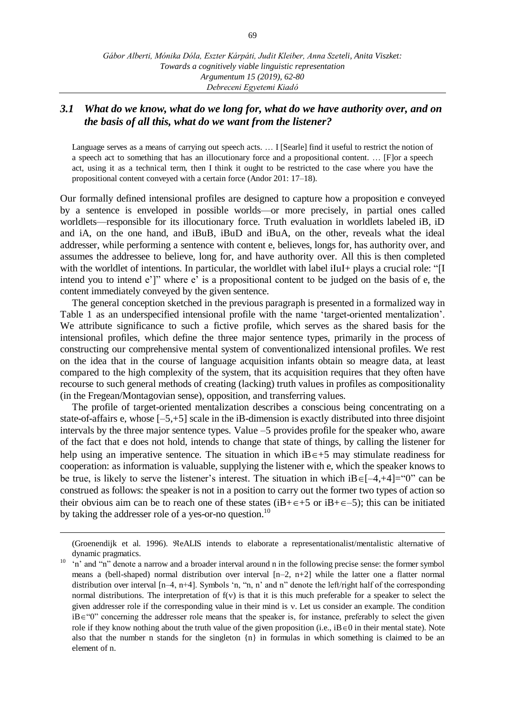## *3.1 What do we know, what do we long for, what do we have authority over, and on the basis of all this, what do we want from the listener?*

Language serves as a means of carrying out speech acts. ... I [Searle] find it useful to restrict the notion of a speech act to something that has an illocutionary force and a propositional content. … [F]or a speech act, using it as a technical term, then I think it ought to be restricted to the case where you have the propositional content conveyed with a certain force (Andor 201: 17–18).

Our formally defined intensional profiles are designed to capture how a proposition e conveyed by a sentence is enveloped in possible worlds—or more precisely, in partial ones called worldlets—responsible for its illocutionary force. Truth evaluation in worldlets labeled iB, iD and iA, on the one hand, and iBuB, iBuD and iBuA, on the other, reveals what the ideal addresser, while performing a sentence with content e, believes, longs for, has authority over, and assumes the addressee to believe, long for, and have authority over. All this is then completed with the worldlet of intentions. In particular, the worldlet with label iIuI+ plays a crucial role: "[I intend you to intend e']" where e' is a propositional content to be judged on the basis of e, the content immediately conveyed by the given sentence.

The general conception sketched in the previous paragraph is presented in a formalized way in Table 1 as an underspecified intensional profile with the name 'target-oriented mentalization'. We attribute significance to such a fictive profile, which serves as the shared basis for the intensional profiles, which define the three major sentence types, primarily in the process of constructing our comprehensive mental system of conventionalized intensional profiles. We rest on the idea that in the course of language acquisition infants obtain so meagre data, at least compared to the high complexity of the system, that its acquisition requires that they often have recourse to such general methods of creating (lacking) truth values in profiles as compositionality (in the Fregean/Montagovian sense), opposition, and transferring values.

The profile of target-oriented mentalization describes a conscious being concentrating on a state-of-affairs e, whose [–5,+5] scale in the iB-dimension is exactly distributed into three disjoint intervals by the three major sentence types. Value –5 provides profile for the speaker who, aware of the fact that e does not hold, intends to change that state of things, by calling the listener for help using an imperative sentence. The situation in which  $iB \in +5$  may stimulate readiness for cooperation: as information is valuable, supplying the listener with e, which the speaker knows to be true, is likely to serve the listener's interest. The situation in which  $iB\in[-4, +4]= "0"$  can be construed as follows: the speaker is not in a position to carry out the former two types of action so their obvious aim can be to reach one of these states ( $iB + \epsilon + 5$  or  $iB + \epsilon - 5$ ); this can be initiated by taking the addresser role of a yes-or-no question.<sup>10</sup>

 $\overline{a}$ 

<sup>(</sup>Groenendijk et al. 1996). ReALIS intends to elaborate a representationalist/mentalistic alternative of dynamic pragmatics.

<sup>10</sup> 'n' and "n" denote a narrow and a broader interval around n in the following precise sense: the former symbol means a (bell-shaped) normal distribution over interval  $[n-2, n+2]$  while the latter one a flatter normal distribution over interval [n–4, n+4]. Symbols 'n, "n, n' and n" denote the left/right half of the corresponding normal distributions. The interpretation of  $f(v)$  is that it is this much preferable for a speaker to select the given addresser role if the corresponding value in their mind is  $v$ . Let us consider an example. The condition  $iB \in \mathcal{C}$  concerning the addresser role means that the speaker is, for instance, preferably to select the given role if they know nothing about the truth value of the given proposition (i.e.,  $iB \in 0$  in their mental state). Note also that the number n stands for the singleton  $\{n\}$  in formulas in which something is claimed to be an element of n.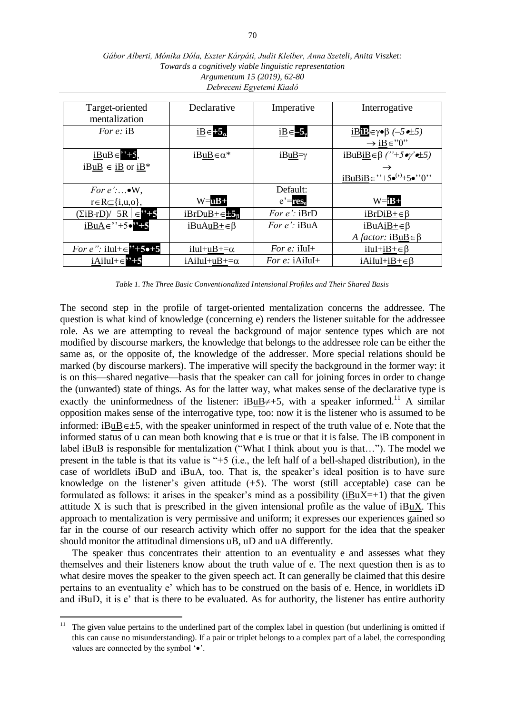| Target-oriented<br>mentalization                                         | Declarative             | Imperative          | Interrogative                                                    |
|--------------------------------------------------------------------------|-------------------------|---------------------|------------------------------------------------------------------|
| For $e$ : iB                                                             | $iB \in +5_{\alpha}$    | $iB \in -5$         | <u>iB</u> <sub>Eγ</sub> •β (-5•±5)<br>$\rightarrow$ iB $\in$ "0" |
| $iBuB \in$ <sup>7</sup> +5,                                              | $iBuB \in \alpha^*$     | $iBuB = \gamma$     | $iBuB\underline{iB} \in \beta$ ("+5 oy' o $\pm 5$ )              |
| $iBuB \in iB$ or $iB^*$                                                  |                         |                     |                                                                  |
|                                                                          |                         |                     | $iBuBiB \in$ "+5 $\bullet$ "+5 $\bullet$ "0"                     |
| For $e'$ : $\bullet W$ ,                                                 |                         | Default:            |                                                                  |
| $r \in R \subseteq \{i, u, o\},\$                                        | $W = uB +$              | $e'$ =res.          | $W = iB +$                                                       |
| $(\Sigma iB \cdot rD) /   5R   \in 7 + 5$                                | $iBrDuB+ \in 15$        | For $e$ : iBrD      | $iBrDiB + \in \beta$                                             |
| $iBuA \in$ <sup>''+5<math>\bullet</math><sup>''</sup><sup>+5</sup></sup> | $iBuAuB + \in \beta$    | <i>For e':</i> iBuA | $iBuAiB + \in \beta$                                             |
|                                                                          |                         |                     | A factor: $iBuB \in \beta$                                       |
| <i>For e</i> ": iIuI+ $\in$ "+5 $\bullet$ +5                             | $iIul+uB+=\alpha$       | For $e$ : iIuI+     | $iIul+iB+\in \beta$                                              |
| $iAilul + \in \mathbf{2+5}$                                              | $iA$ iIuI+uB+= $\alpha$ | For $e$ : iAiluI+   | $iA$ iIuI+ $iB + \in \beta$                                      |

*Gábor Alberti, Mónika Dóla, Eszter Kárpáti, Judit Kleiber, Anna Szeteli, Anita Viszket: Towards a cognitively viable linguistic representation Argumentum 15 (2019), 62-80 Debreceni Egyetemi Kiadó*

The second step in the profile of target-oriented mentalization concerns the addressee. The question is what kind of knowledge (concerning e) renders the listener suitable for the addressee role. As we are attempting to reveal the background of major sentence types which are not modified by discourse markers, the knowledge that belongs to the addressee role can be either the same as, or the opposite of, the knowledge of the addresser. More special relations should be marked (by discourse markers). The imperative will specify the background in the former way: it is on this—shared negative—basis that the speaker can call for joining forces in order to change the (unwanted) state of things. As for the latter way, what makes sense of the declarative type is exactly the uninformedness of the listener:  $iBuB\neq +5$ , with a speaker informed.<sup>11</sup> A similar opposition makes sense of the interrogative type, too: now it is the listener who is assumed to be informed: iBuB $\epsilon$ ±5, with the speaker uninformed in respect of the truth value of e. Note that the informed status of u can mean both knowing that e is true or that it is false. The iB component in label iBuB is responsible for mentalization ("What I think about you is that…"). The model we present in the table is that its value is "+5 (i.e., the left half of a bell-shaped distribution), in the case of worldlets iBuD and iBuA, too. That is, the speaker's ideal position is to have sure knowledge on the listener's given attitude  $(+5)$ . The worst (still acceptable) case can be formulated as follows: it arises in the speaker's mind as a possibility ( $iBuX=+1$ ) that the given attitude X is such that is prescribed in the given intensional profile as the value of iBuX. This approach to mentalization is very permissive and uniform; it expresses our experiences gained so far in the course of our research activity which offer no support for the idea that the speaker should monitor the attitudinal dimensions uB, uD and uA differently.

The speaker thus concentrates their attention to an eventuality e and assesses what they themselves and their listeners know about the truth value of e. The next question then is as to what desire moves the speaker to the given speech act. It can generally be claimed that this desire pertains to an eventuality e' which has to be construed on the basis of e. Hence, in worldlets iD and iBuD, it is e' that is there to be evaluated. As for authority, the listener has entire authority

*Table 1. The Three Basic Conventionalized Intensional Profiles and Their Shared Basis*

 $11^{\circ}$ <sup>11</sup> The given value pertains to the underlined part of the complex label in question (but underlining is omitted if this can cause no misunderstanding). If a pair or triplet belongs to a complex part of a label, the corresponding values are connected by the symbol  $\cdot \bullet$ .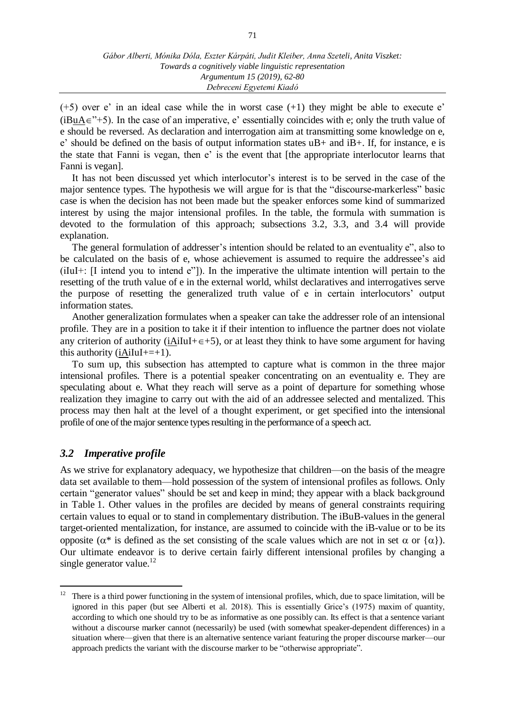$(+5)$  over e' in an ideal case while the in worst case  $(+1)$  they might be able to execute e' (iBuA $\in$ "+5). In the case of an imperative, e' essentially coincides with e; only the truth value of e should be reversed. As declaration and interrogation aim at transmitting some knowledge on e, e' should be defined on the basis of output information states uB+ and iB+. If, for instance, e is the state that Fanni is vegan, then e' is the event that [the appropriate interlocutor learns that Fanni is vegan].

It has not been discussed yet which interlocutor's interest is to be served in the case of the major sentence types. The hypothesis we will argue for is that the "discourse-markerless" basic case is when the decision has not been made but the speaker enforces some kind of summarized interest by using the major intensional profiles. In the table, the formula with summation is devoted to the formulation of this approach; subsections 3.2, 3.3, and 3.4 will provide explanation.

The general formulation of addresser's intention should be related to an eventuality e", also to be calculated on the basis of e, whose achievement is assumed to require the addressee's aid (iIuI+: [I intend you to intend e"]). In the imperative the ultimate intention will pertain to the resetting of the truth value of e in the external world, whilst declaratives and interrogatives serve the purpose of resetting the generalized truth value of e in certain interlocutors' output information states.

Another generalization formulates when a speaker can take the addresser role of an intensional profile. They are in a position to take it if their intention to influence the partner does not violate any criterion of authority (iAiIuI+ $\epsilon$ +5), or at least they think to have some argument for having this authority ( $i$ AiIuI+=+1).

To sum up, this subsection has attempted to capture what is common in the three major intensional profiles. There is a potential speaker concentrating on an eventuality e. They are speculating about e. What they reach will serve as a point of departure for something whose realization they imagine to carry out with the aid of an addressee selected and mentalized. This process may then halt at the level of a thought experiment, or get specified into the intensional profile of one of the major sentence types resulting in the performance of a speech act.

## *3.2 Imperative profile*

 $\overline{a}$ 

As we strive for explanatory adequacy, we hypothesize that children—on the basis of the meagre data set available to them—hold possession of the system of intensional profiles as follows. Only certain "generator values" should be set and keep in mind; they appear with a black background in Table 1. Other values in the profiles are decided by means of general constraints requiring certain values to equal or to stand in complementary distribution. The iBuB-values in the general target-oriented mentalization, for instance, are assumed to coincide with the iB-value or to be its opposite ( $\alpha^*$  is defined as the set consisting of the scale values which are not in set  $\alpha$  or  $\{\alpha\}$ ). Our ultimate endeavor is to derive certain fairly different intensional profiles by changing a single generator value.<sup>12</sup>

<sup>&</sup>lt;sup>12</sup> There is a third power functioning in the system of intensional profiles, which, due to space limitation, will be ignored in this paper (but see Alberti et al*.* 2018). This is essentially Grice's (1975) maxim of quantity, according to which one should try to be as informative as one possibly can. Its effect is that a sentence variant without a discourse marker cannot (necessarily) be used (with somewhat speaker-dependent differences) in a situation where—given that there is an alternative sentence variant featuring the proper discourse marker—our approach predicts the variant with the discourse marker to be "otherwise appropriate".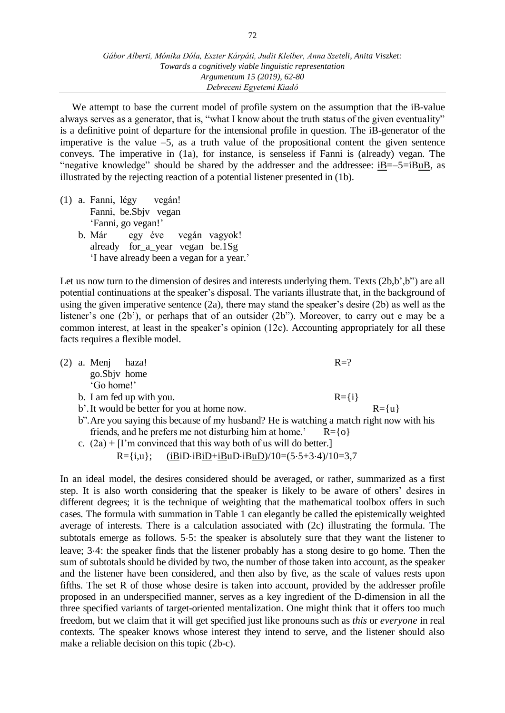We attempt to base the current model of profile system on the assumption that the iB-value always serves as a generator, that is, "what I know about the truth status of the given eventuality" is a definitive point of departure for the intensional profile in question. The iB-generator of the imperative is the value  $-5$ , as a truth value of the propositional content the given sentence conveys. The imperative in (1a), for instance, is senseless if Fanni is (already) vegan. The "negative knowledge" should be shared by the addresser and the addressee: iB=–5=iBuB, as illustrated by the rejecting reaction of a potential listener presented in (1b).

(1) a. Fanni, légy vegán! Fanni, be.Sbjv vegan 'Fanni, go vegan!' b. Már egy éve vegán vagyok! already for\_a\_year vegan be.1Sg 'I have already been a vegan for a year.'

Let us now turn to the dimension of desires and interests underlying them. Texts (2b,b',b'') are all potential continuations at the speaker's disposal. The variants illustrate that, in the background of using the given imperative sentence (2a), there may stand the speaker's desire (2b) as well as the listener's one (2b'), or perhaps that of an outsider (2b"). Moreover, to carry out e may be a common interest, at least in the speaker's opinion (12c). Accounting appropriately for all these facts requires a flexible model.

|  | $(2)$ a. Menj haza! |                          |                                                                                          | $R=?$       |             |
|--|---------------------|--------------------------|------------------------------------------------------------------------------------------|-------------|-------------|
|  | go.Sbjv home        |                          |                                                                                          |             |             |
|  | 'Go home!'          |                          |                                                                                          |             |             |
|  |                     | b. I am fed up with you. |                                                                                          | $R = \{i\}$ |             |
|  |                     |                          | b'. It would be better for you at home now.                                              |             | $R = \{u\}$ |
|  |                     |                          | b". Are you saying this because of my husband? He is watching a match right now with his |             |             |
|  |                     |                          | friends, and he prefers me not disturbing him at home.' $R = \{o\}$                      |             |             |
|  |                     |                          | c. $(2a)$ + [I'm convinced that this way both of us will do better.]                     |             |             |
|  |                     |                          | R={i,u}; (iBiD·iBiD+iBuD·iBuD)/10= $(5.5+3.4)/10=3,7$                                    |             |             |
|  |                     |                          |                                                                                          |             |             |

In an ideal model, the desires considered should be averaged, or rather, summarized as a first step. It is also worth considering that the speaker is likely to be aware of others' desires in different degrees; it is the technique of weighting that the mathematical toolbox offers in such cases. The formula with summation in Table 1 can elegantly be called the epistemically weighted average of interests. There is a calculation associated with (2c) illustrating the formula. The subtotals emerge as follows. 5.5: the speaker is absolutely sure that they want the listener to leave; 34: the speaker finds that the listener probably has a stong desire to go home. Then the sum of subtotals should be divided by two, the number of those taken into account, as the speaker and the listener have been considered, and then also by five, as the scale of values rests upon fifths. The set R of those whose desire is taken into account, provided by the addresser profile proposed in an underspecified manner, serves as a key ingredient of the D-dimension in all the three specified variants of target-oriented mentalization. One might think that it offers too much freedom, but we claim that it will get specified just like pronouns such as *this* or *everyone* in real contexts. The speaker knows whose interest they intend to serve, and the listener should also make a reliable decision on this topic (2b-c).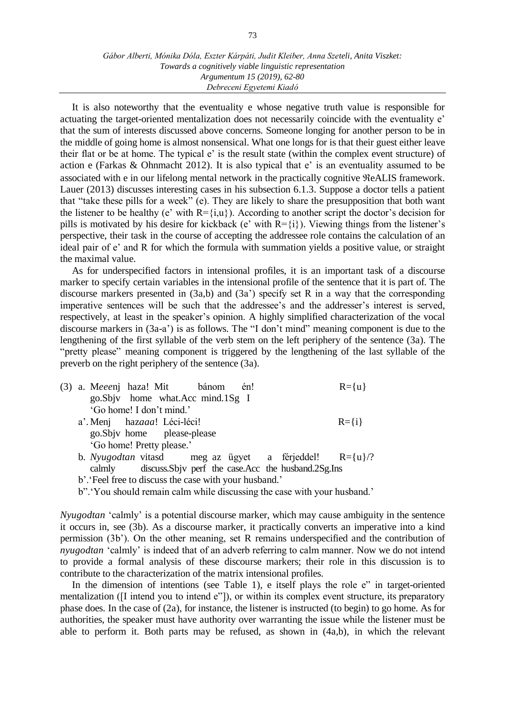It is also noteworthy that the eventuality e whose negative truth value is responsible for actuating the target-oriented mentalization does not necessarily coincide with the eventuality e' that the sum of interests discussed above concerns. Someone longing for another person to be in the middle of going home is almost nonsensical. What one longs for is that their guest either leave their flat or be at home. The typical e' is the result state (within the complex event structure) of action e (Farkas & Ohnmacht 2012). It is also typical that e' is an eventuality assumed to be associated with e in our lifelong mental network in the practically cognitive  $\Re$ eALIS framework. Lauer (2013) discusses interesting cases in his subsection 6.1.3. Suppose a doctor tells a patient that "take these pills for a week" (e). They are likely to share the presupposition that both want the listener to be healthy (e' with  $R = \{i, u\}$ ). According to another script the doctor's decision for pills is motivated by his desire for kickback (e' with  $R=\{i\}$ ). Viewing things from the listener's perspective, their task in the course of accepting the addressee role contains the calculation of an ideal pair of e' and R for which the formula with summation yields a positive value, or straight the maximal value.

As for underspecified factors in intensional profiles, it is an important task of a discourse marker to specify certain variables in the intensional profile of the sentence that it is part of. The discourse markers presented in  $(3a,b)$  and  $(3a')$  specify set R in a way that the corresponding imperative sentences will be such that the addressee's and the addresser's interest is served, respectively, at least in the speaker's opinion. A highly simplified characterization of the vocal discourse markers in (3a-a') is as follows. The "I don't mind" meaning component is due to the lengthening of the first syllable of the verb stem on the left periphery of the sentence (3a). The "pretty please" meaning component is triggered by the lengthening of the last syllable of the preverb on the right periphery of the sentence (3a).

| (3) a. Meeenj haza! Mit bánom én!                             | $R = \{u\}$ |
|---------------------------------------------------------------|-------------|
| go.Sbjv home what.Acc mind.1Sg I                              |             |
| 'Go home! I don't mind.'                                      |             |
| a'. Menj hazaaa! Léci-léci!                                   | $R = \{i\}$ |
| go.Sbjv home please-please                                    |             |
| 'Go home! Pretty please.'                                     |             |
| b. Nyugodtan vitasd meg az ügyet a férjeddel! $R = \{u\}/2$   |             |
| calmly discuss. Sbjv perf the case. Acc the husband. 2Sg. Ins |             |
| b'. 'Feel free to discuss the case with your husband.'        |             |

b".'You should remain calm while discussing the case with your husband.'

*Nyugodtan* 'calmly' is a potential discourse marker, which may cause ambiguity in the sentence it occurs in, see (3b). As a discourse marker, it practically converts an imperative into a kind permission (3b'). On the other meaning, set R remains underspecified and the contribution of *nyugodtan* 'calmly' is indeed that of an adverb referring to calm manner. Now we do not intend to provide a formal analysis of these discourse markers; their role in this discussion is to contribute to the characterization of the matrix intensional profiles.

In the dimension of intentions (see Table 1), e itself plays the role e" in target-oriented mentalization ([I intend you to intend e"]), or within its complex event structure, its preparatory phase does. In the case of (2a), for instance, the listener is instructed (to begin) to go home. As for authorities, the speaker must have authority over warranting the issue while the listener must be able to perform it. Both parts may be refused, as shown in (4a,b), in which the relevant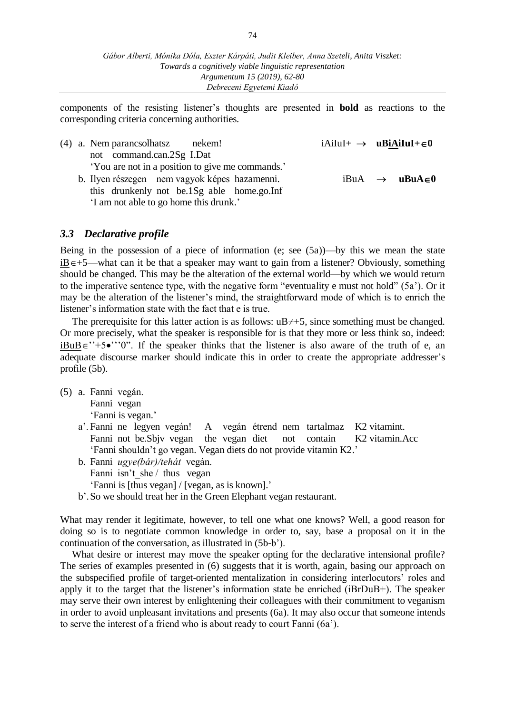components of the resisting listener's thoughts are presented in **bold** as reactions to the corresponding criteria concerning authorities.

| not command.can.2Sg I.Dat<br>'You are not in a position to give me commands.'<br>b. Ilyen részegen nem vagyok képes hazamenni.<br>$iBuA \rightarrow uBuA \in 0$<br>this drunkenly not be.1Sg able home.go.Inf<br>'I am not able to go home this drunk.' |  |
|---------------------------------------------------------------------------------------------------------------------------------------------------------------------------------------------------------------------------------------------------------|--|

#### *3.3 Declarative profile*

Being in the possession of a piece of information (e; see (5a))—by this we mean the state  $iB \in +5$ —what can it be that a speaker may want to gain from a listener? Obviously, something should be changed. This may be the alteration of the external world—by which we would return to the imperative sentence type, with the negative form "eventuality e must not hold" (5a'). Or it may be the alteration of the listener's mind, the straightforward mode of which is to enrich the listener's information state with the fact that e is true.

The prerequisite for this latter action is as follows:  $uB \neq 5$ , since something must be changed. Or more precisely, what the speaker is responsible for is that they more or less think so, indeed:  $iBuB \in C^*$  ''0". If the speaker thinks that the listener is also aware of the truth of e, an adequate discourse marker should indicate this in order to create the appropriate addresser's profile (5b).

- (5) a. Fanni vegán. Fanni vegan 'Fanni is vegan.'
	- a'. Fanni ne legyen vegán! A vegán étrend nem tartalmaz K2 vitamint. Fanni not be.Sbjv vegan the vegan diet not contain K2 vitamin.Acc 'Fanni shouldn't go vegan. Vegan diets do not provide vitamin K2.'
	- b. Fanni *ugye(bár)/tehát* vegán. Fanni isn't she / thus vegan 'Fanni is [thus vegan] / [vegan, as is known].'
	- b'.So we should treat her in the Green Elephant vegan restaurant.

What may render it legitimate, however, to tell one what one knows? Well, a good reason for doing so is to negotiate common knowledge in order to, say, base a proposal on it in the continuation of the conversation, as illustrated in (5b-b').

What desire or interest may move the speaker opting for the declarative intensional profile? The series of examples presented in (6) suggests that it is worth, again, basing our approach on the subspecified profile of target-oriented mentalization in considering interlocutors' roles and apply it to the target that the listener's information state be enriched (iBrDuB+). The speaker may serve their own interest by enlightening their colleagues with their commitment to veganism in order to avoid unpleasant invitations and presents (6a). It may also occur that someone intends to serve the interest of a friend who is about ready to court Fanni (6a').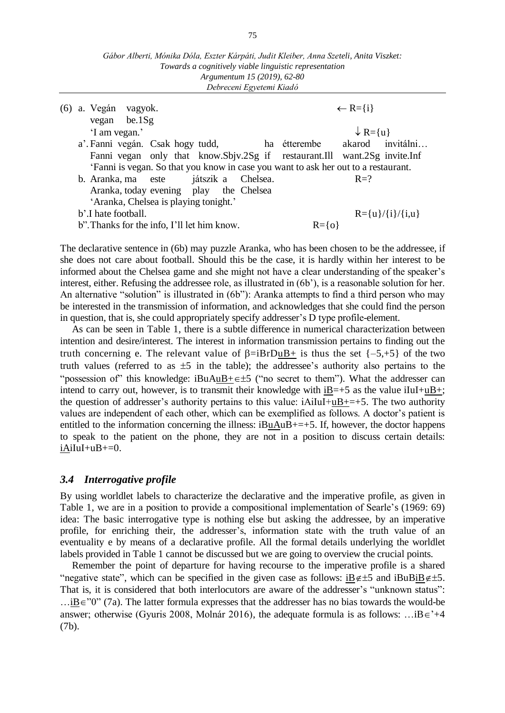| Gábor Alberti, Mónika Dóla, Eszter Kárpáti, Judit Kleiber, Anna Szeteli, Anita Viszket: |
|-----------------------------------------------------------------------------------------|
| Towards a cognitively viable linguistic representation                                  |
| Argumentum 15 (2019), 62-80                                                             |
| Debreceni Egyetemi Kiadó                                                                |

|  | (6) a. Vegán vagyok.<br>$vegan$ be.1Sg                                             | $\leftarrow R = \{i\}$           |
|--|------------------------------------------------------------------------------------|----------------------------------|
|  | 'I am vegan.'                                                                      | $\downarrow$ R={u}               |
|  | a'. Fanni vegán. Csak hogy tudd,                                                   | akarod invitálni<br>ha étterembe |
|  | Fanni vegan only that know.Sbjv.2Sg if restaurant.Ill want.2Sg invite.Inf          |                                  |
|  | 'Fanni is vegan. So that you know in case you want to ask her out to a restaurant. |                                  |
|  | b. Aranka, ma este játszik a Chelsea.                                              | $R=?$                            |
|  | Aranka, today evening play the Chelsea                                             |                                  |
|  | 'Aranka, Chelsea is playing tonight.'                                              |                                  |
|  | b'.I hate football.                                                                | $R = {u}/{i}/{i}$ , $u$          |
|  | b". Thanks for the info, I'll let him know.                                        | $R = \{o\}$                      |

The declarative sentence in (6b) may puzzle Aranka, who has been chosen to be the addressee, if she does not care about football. Should this be the case, it is hardly within her interest to be informed about the Chelsea game and she might not have a clear understanding of the speaker's interest, either. Refusing the addressee role, as illustrated in (6b'), is a reasonable solution for her. An alternative "solution" is illustrated in (6b"): Aranka attempts to find a third person who may be interested in the transmission of information, and acknowledges that she could find the person in question, that is, she could appropriately specify addresser's D type profile-element.

As can be seen in Table 1, there is a subtle difference in numerical characterization between intention and desire/interest. The interest in information transmission pertains to finding out the truth concerning e. The relevant value of  $\beta = iBrDuB + i\$  is thus the set  $\{-5, +5\}$  of the two truth values (referred to as  $\pm 5$  in the table); the addressee's authority also pertains to the "possession of" this knowledge: iBuAuB+ $\in \pm 5$  ("no secret to them"). What the addresser can intend to carry out, however, is to transmit their knowledge with  $iB=+5$  as the value  $iIuI+uB+$ ; the question of addresser's authority pertains to this value:  $i$ AiIuI+uB+=+5. The two authority values are independent of each other, which can be exemplified as follows. A doctor's patient is entitled to the information concerning the illness:  $iBuAuB+-+5$ . If, however, the doctor happens to speak to the patient on the phone, they are not in a position to discuss certain details:  $iAiluI+uB+=0.$ 

#### *3.4 Interrogative profile*

By using worldlet labels to characterize the declarative and the imperative profile, as given in Table 1, we are in a position to provide a compositional implementation of Searle's (1969: 69) idea: The basic interrogative type is nothing else but asking the addressee, by an imperative profile, for enriching their, the addresser's, information state with the truth value of an eventuality e by means of a declarative profile. All the formal details underlying the worldlet labels provided in Table 1 cannot be discussed but we are going to overview the crucial points.

Remember the point of departure for having recourse to the imperative profile is a shared "negative state", which can be specified in the given case as follows:  $\underline{iB}\notin\pm 5$  and  $iBuB\underline{iB}\notin\pm 5$ . That is, it is considered that both interlocutors are aware of the addresser's "unknown status":  $\dots$ iB $\in$ "0" (7a). The latter formula expresses that the addresser has no bias towards the would-be answer; otherwise (Gyuris 2008, Molnár 2016), the adequate formula is as follows: ... $iB \in \{+4\}$ (7b).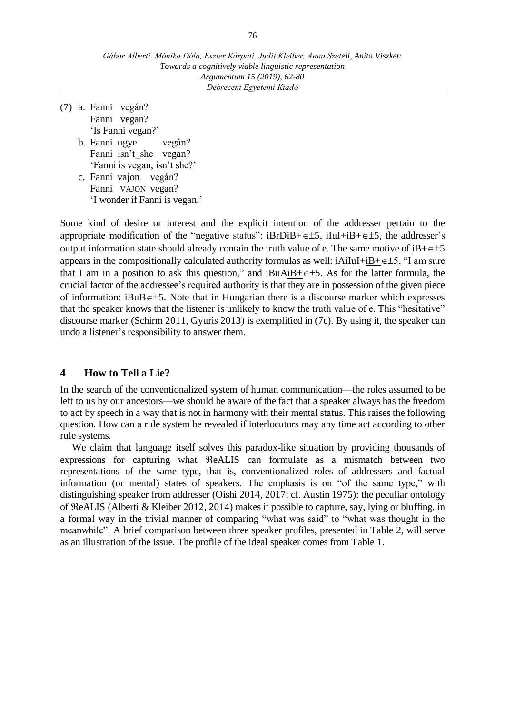- (7) a. Fanni vegán? Fanni vegan? 'Is Fanni vegan?'
	- b. Fanni ugye vegán? Fanni isn't she vegan? 'Fanni is vegan, isn't she?'
	- c. Fanni vajon vegán? Fanni VAJON vegan? 'I wonder if Fanni is vegan.'

Some kind of desire or interest and the explicit intention of the addresser pertain to the appropriate modification of the "negative status":  $iBrDiB+\epsilon\pm5$ ,  $iIuI+iB+\epsilon\pm5$ , the addresser's output information state should already contain the truth value of e. The same motive of  $iB + \epsilon \pm 5$ appears in the compositionally calculated authority formulas as well:  $iAiluI+iB+\epsilon\pm5$ , "I am sure that I am in a position to ask this question," and  $iBuAiB+\epsilon\pm5$ . As for the latter formula, the crucial factor of the addressee's required authority is that they are in possession of the given piece of information: iBuB $\in \pm 5$ . Note that in Hungarian there is a discourse marker which expresses that the speaker knows that the listener is unlikely to know the truth value of e. This "hesitative" discourse marker (Schirm 2011, Gyuris 2013) is exemplified in (7c). By using it, the speaker can undo a listener's responsibility to answer them.

## **4 How to Tell a Lie?**

In the search of the conventionalized system of human communication—the roles assumed to be left to us by our ancestors—we should be aware of the fact that a speaker always has the freedom to act by speech in a way that is not in harmony with their mental status. This raises the following question. How can a rule system be revealed if interlocutors may any time act according to other rule systems.

We claim that language itself solves this paradox-like situation by providing thousands of expressions for capturing what  $ReALIS$  can formulate as a mismatch between two representations of the same type, that is, conventionalized roles of addressers and factual information (or mental) states of speakers. The emphasis is on "of the same type," with distinguishing speaker from addresser (Oishi 2014, 2017; cf. Austin 1975): the peculiar ontology of  $\Re$ eALIS (Alberti & Kleiber 2012, 2014) makes it possible to capture, say, lying or bluffing, in a formal way in the trivial manner of comparing "what was said" to "what was thought in the meanwhile". A brief comparison between three speaker profiles, presented in Table 2, will serve as an illustration of the issue. The profile of the ideal speaker comes from Table 1.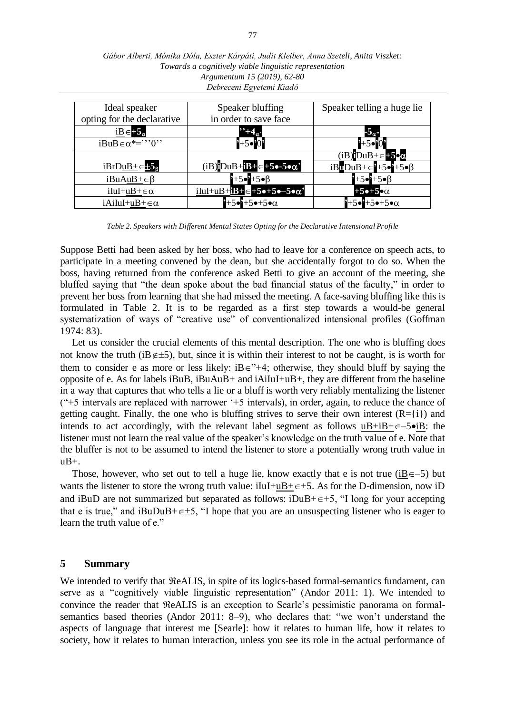| Ideal speaker                          | Speaker bluffing<br>in order to save face                                  | Speaker telling a huge lie                   |
|----------------------------------------|----------------------------------------------------------------------------|----------------------------------------------|
| opting for the declarative             |                                                                            |                                              |
| $iB \in +5_{\alpha}$                   | $\mathbf{E}_{\mathbf{R}}$                                                  | $-5\sigma$                                   |
| $iB\underline{u}B \in \alpha^{*-}$ "0" | น⊢ร•¤∩¤                                                                    |                                              |
|                                        |                                                                            | $(iB)$ DuB+ $\in$ -5• $\alpha$               |
| $iBrDuB+ \in 58$                       | $(iB)iDuB+iB+ \in +5 \bullet -5 \bullet \alpha'$                           | $iBuDuB + \in \{+5\bullet\} + 5\bullet\beta$ |
| $iBuAuB + \in \beta$                   | $-5 - 5 - 6$                                                               | $-5 - 15 - \beta$                            |
| iIuI+uB+ $\in \alpha$                  | $i$ IuI+uB+ $i$ B+ $\in$ +5 $\bullet$ +5 $\bullet$ -5 $\bullet$ $\alpha$ ' | $+5$ •+5• $\alpha$                           |
| $iAiluI+uB+\in\alpha$                  | $-5-5-\alpha$                                                              | $+5\bullet+5\bullet+5\bullet\alpha$          |

*Gábor Alberti, Mónika Dóla, Eszter Kárpáti, Judit Kleiber, Anna Szeteli, Anita Viszket: Towards a cognitively viable linguistic representation Argumentum 15 (2019), 62-80 Debreceni Egyetemi Kiadó*

*Table 2. Speakers with Different Mental States Opting for the Declarative Intensional Profile*

Suppose Betti had been asked by her boss, who had to leave for a conference on speech acts, to participate in a meeting convened by the dean, but she accidentally forgot to do so. When the boss, having returned from the conference asked Betti to give an account of the meeting, she bluffed saying that "the dean spoke about the bad financial status of the faculty," in order to prevent her boss from learning that she had missed the meeting. A face-saving bluffing like this is formulated in Table 2. It is to be regarded as a first step towards a would-be general systematization of ways of "creative use" of conventionalized intensional profiles (Goffman 1974: 83).

Let us consider the crucial elements of this mental description. The one who is bluffing does not know the truth (iB $\neq$ ±5), but, since it is within their interest to not be caught, is is worth for them to consider e as more or less likely:  $iB \in \mathbb{R}^{+4}$ ; otherwise, they should bluff by saying the opposite of e. As for labels iBuB, iBuAuB+ and  $iA_iIuI+uB+$ , they are different from the baseline in a way that captures that who tells a lie or a bluff is worth very reliably mentalizing the listener ("+5 intervals are replaced with narrower '+5 intervals), in order, again, to reduce the chance of getting caught. Finally, the one who is bluffing strives to serve their own interest  $(R = \{i\})$  and intends to act accordingly, with the relevant label segment as follows  $uB+iB+\epsilon-5\bullet iB$ : the listener must not learn the real value of the speaker's knowledge on the truth value of e. Note that the bluffer is not to be assumed to intend the listener to store a potentially wrong truth value in uB+.

Those, however, who set out to tell a huge lie, know exactly that e is not true (iB $\epsilon$ –5) but wants the listener to store the wrong truth value:  $iIuI+uB+\epsilon+5$ . As for the D-dimension, now iD and iBuD are not summarized but separated as follows:  $iDuB+\epsilon+5$ , "I long for your accepting that e is true," and iBuDuB+ $\epsilon$ ±5, "I hope that you are an unsuspecting listener who is eager to learn the truth value of e."

#### **5 Summary**

We intended to verify that  $ReALIS$ , in spite of its logics-based formal-semantics fundament, can serve as a "cognitively viable linguistic representation" (Andor 2011: 1). We intended to convince the reader that  $ReALIS$  is an exception to Searle's pessimistic panorama on formalsemantics based theories (Andor 2011: 8–9), who declares that: "we won't understand the aspects of language that interest me [Searle]: how it relates to human life, how it relates to society, how it relates to human interaction, unless you see its role in the actual performance of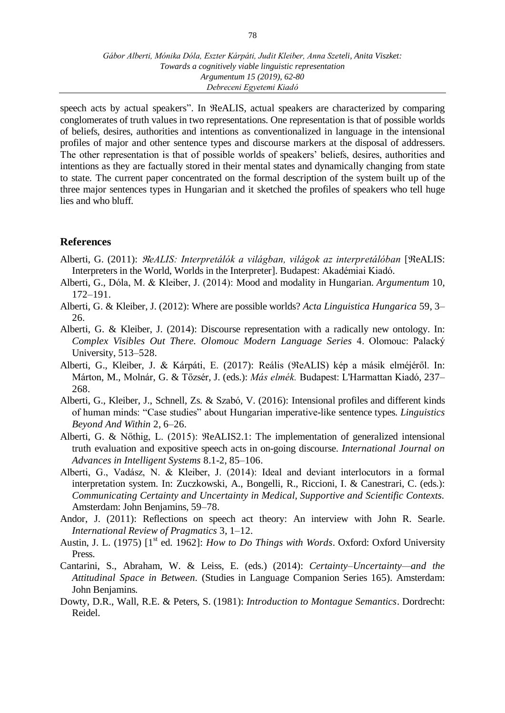speech acts by actual speakers". In ReALIS, actual speakers are characterized by comparing conglomerates of truth values in two representations. One representation is that of possible worlds of beliefs, desires, authorities and intentions as conventionalized in language in the intensional profiles of major and other sentence types and discourse markers at the disposal of addressers. The other representation is that of possible worlds of speakers' beliefs, desires, authorities and intentions as they are factually stored in their mental states and dynamically changing from state to state. The current paper concentrated on the formal description of the system built up of the three major sentences types in Hungarian and it sketched the profiles of speakers who tell huge lies and who bluff.

## **References**

- Alberti, G. (2011): *ReALIS: Interpretálók a világban, világok az interpretálóban* [ReALIS: Interpreters in the World, Worlds in the Interpreter]. Budapest: Akadémiai Kiadó.
- Alberti, G., Dóla, M. & Kleiber, J. (2014): Mood and modality in Hungarian. *Argumentum* 10, 172–191.
- Alberti, G. & Kleiber, J. (2012): Where are possible worlds? *Acta Linguistica Hungarica* 59, 3– 26.
- Alberti, G. & Kleiber, J. (2014): Discourse representation with a radically new ontology. In: *Complex Visibles Out There. Olomouc Modern Language Series* 4. Olomouc: Palacký University, 513–528.
- Alberti, G., Kleiber, J. & Kárpáti, E. (2017): Reális (ReALIS) kép a másik elméjéről. In: Márton, M., Molnár, G. & Tőzsér, J. (eds.): *Más elmék.* Budapest: L'Harmattan Kiadó, 237– 268.
- Alberti, G., Kleiber, J., Schnell, Zs. & Szabó, V. (2016): Intensional profiles and different kinds of human minds: "Case studies" about Hungarian imperative-like sentence types. *Linguistics Beyond And Within* 2, 6–26.
- Alberti, G. & Nőthig, L. (2015):  $ReALIS2.1$ : The implementation of generalized intensional truth evaluation and expositive speech acts in on-going discourse. *International Journal on Advances in Intelligent Systems* 8.1-2, 85–106.
- Alberti, G., Vadász, N. & Kleiber, J. (2014): Ideal and deviant interlocutors in a formal interpretation system. In: Zuczkowski, A., Bongelli, R., Riccioni, I. & Canestrari, C. (eds.): *Communicating Certainty and Uncertainty in Medical, Supportive and Scientific Contexts.* Amsterdam: John Benjamins, 59–78.
- Andor, J. (2011): Reflections on speech act theory: An interview with John R. Searle. *International Review of Pragmatics* 3, 1–12.
- Austin, J. L. (1975) [1<sup>st</sup> ed. 1962]: *How to Do Things with Words*. Oxford: Oxford University Press.
- Cantarini, S., Abraham, W. & Leiss, E. (eds.) (2014): *Certainty–Uncertainty—and the Attitudinal Space in Between.* (Studies in Language Companion Series 165). Amsterdam: John Benjamins.
- Dowty, D.R., Wall, R.E. & Peters, S. (1981): *Introduction to Montague Semantics*. Dordrecht: Reidel.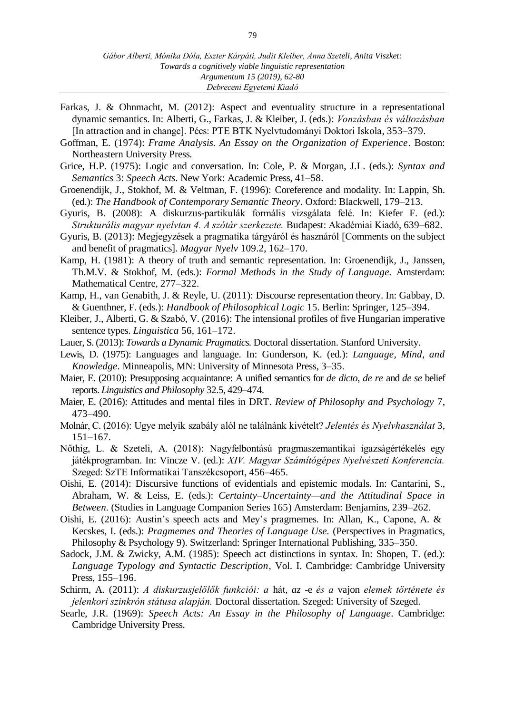- Farkas, J. & Ohnmacht, M. (2012): Aspect and eventuality structure in a representational dynamic semantics. In: Alberti, G., Farkas, J. & Kleiber, J. (eds.): *Vonzásban és változásban* [In attraction and in change]. Pécs: PTE BTK Nyelvtudományi Doktori Iskola, 353–379.
- Goffman, E. (1974): *Frame Analysis. An Essay on the Organization of Experience*. Boston: Northeastern University Press.
- Grice, H.P. (1975): Logic and conversation. In: Cole, P. & Morgan, J.L. (eds.): *Syntax and Semantics* 3: *Speech Acts.* New York: Academic Press, 41–58.
- Groenendijk, J., Stokhof, M. & Veltman, F. (1996): Coreference and modality. In: Lappin, Sh. (ed.): *The Handbook of Contemporary Semantic Theory*. Oxford: Blackwell, 179–213.
- Gyuris, B. (2008): A diskurzus-partikulák formális vizsgálata felé. In: Kiefer F. (ed.): *Strukturális magyar nyelvtan 4. A szótár szerkezete.* Budapest: Akadémiai Kiadó, 639–682.
- Gyuris, B. (2013): Megjegyzések a pragmatika tárgyáról és hasznáról [Comments on the subject and benefit of pragmatics]. *Magyar Nyelv* 109.2, 162–170.
- Kamp, H. (1981): A theory of truth and semantic representation. In: Groenendijk, J., Janssen, Th.M.V. & Stokhof, M. (eds.): *Formal Methods in the Study of Language.* Amsterdam: Mathematical Centre, 277–322.
- Kamp, H., van Genabith, J. & Reyle, U. (2011): Discourse representation theory. In: Gabbay, D. & Guenthner, F. (eds.): *Handbook of Philosophical Logic* 15. Berlin: Springer, 125–394.
- Kleiber, J., Alberti, G. & Szabó, V. (2016): The intensional profiles of five Hungarian imperative sentence types. *Linguistica* 56, 161–172.
- Lauer, S. (2013): *Towards a Dynamic Pragmatics.* Doctoral dissertation. Stanford University.
- Lewis, D. (1975): Languages and language. In: Gunderson, K. (ed.): *Language, Mind, and Knowledge.* Minneapolis, MN: University of Minnesota Press, 3–35.
- Maier, E. (2010): Presupposing acquaintance: A unified semantics for *de dicto*, *de re* and *de se* belief reports. *Linguistics and Philosophy* 32.5, 429–474.
- Maier, E. (2016): Attitudes and mental files in DRT. *Review of Philosophy and Psychology* 7, 473–490.
- Molnár, C. (2016): Ugye melyik szabály alól ne találnánk kivételt? *Jelentés és Nyelvhasználat* 3, 151–167.
- Nőthig, L. & Szeteli, A. (2018): Nagyfelbontású pragmaszemantikai igazságértékelés egy játékprogramban. In: Vincze V. (ed.): *XIV. Magyar Számítógépes Nyelvészeti Konferencia.* Szeged: SzTE Informatikai Tanszékcsoport, 456–465.
- Oishi, E. (2014): Discursive functions of evidentials and epistemic modals. In: Cantarini, S., Abraham, W. & Leiss, E. (eds.): *Certainty–Uncertainty—and the Attitudinal Space in Between.* (Studies in Language Companion Series 165) Amsterdam: Benjamins, 239–262.
- Oishi, E. (2016): Austin's speech acts and Mey's pragmemes. In: Allan, K., Capone, A. & Kecskes, I. (eds.): *Pragmemes and Theories of Language Use.* (Perspectives in Pragmatics, Philosophy & Psychology 9). Switzerland: Springer International Publishing, 335–350.
- Sadock, J.M. & Zwicky, A.M. (1985): Speech act distinctions in syntax. In: Shopen, T. (ed.): *Language Typology and Syntactic Description*, Vol. I. Cambridge: Cambridge University Press, 155–196.
- Schirm, A. (2011): *A diskurzusjelölők funkciói: a* hát*, az* -e *és a* vajon *elemek története és jelenkori szinkrón státusa alapján.* Doctoral dissertation. Szeged: University of Szeged.
- Searle, J.R. (1969): *Speech Acts: An Essay in the Philosophy of Language*. Cambridge: Cambridge University Press.